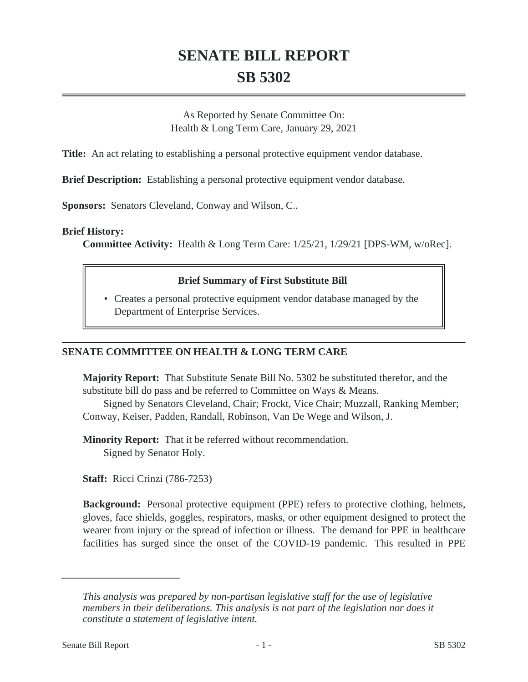# **SENATE BILL REPORT SB 5302**

As Reported by Senate Committee On: Health & Long Term Care, January 29, 2021

**Title:** An act relating to establishing a personal protective equipment vendor database.

**Brief Description:** Establishing a personal protective equipment vendor database.

**Sponsors:** Senators Cleveland, Conway and Wilson, C..

#### **Brief History:**

**Committee Activity:** Health & Long Term Care: 1/25/21, 1/29/21 [DPS-WM, w/oRec].

#### **Brief Summary of First Substitute Bill**

Creates a personal protective equipment vendor database managed by the • Department of Enterprise Services.

### **SENATE COMMITTEE ON HEALTH & LONG TERM CARE**

**Majority Report:** That Substitute Senate Bill No. 5302 be substituted therefor, and the substitute bill do pass and be referred to Committee on Ways & Means.

Signed by Senators Cleveland, Chair; Frockt, Vice Chair; Muzzall, Ranking Member; Conway, Keiser, Padden, Randall, Robinson, Van De Wege and Wilson, J.

**Minority Report:** That it be referred without recommendation. Signed by Senator Holy.

**Staff:** Ricci Crinzi (786-7253)

**Background:** Personal protective equipment (PPE) refers to protective clothing, helmets, gloves, face shields, goggles, respirators, masks, or other equipment designed to protect the wearer from injury or the spread of infection or illness. The demand for PPE in healthcare facilities has surged since the onset of the COVID-19 pandemic. This resulted in PPE

*This analysis was prepared by non-partisan legislative staff for the use of legislative members in their deliberations. This analysis is not part of the legislation nor does it constitute a statement of legislative intent.*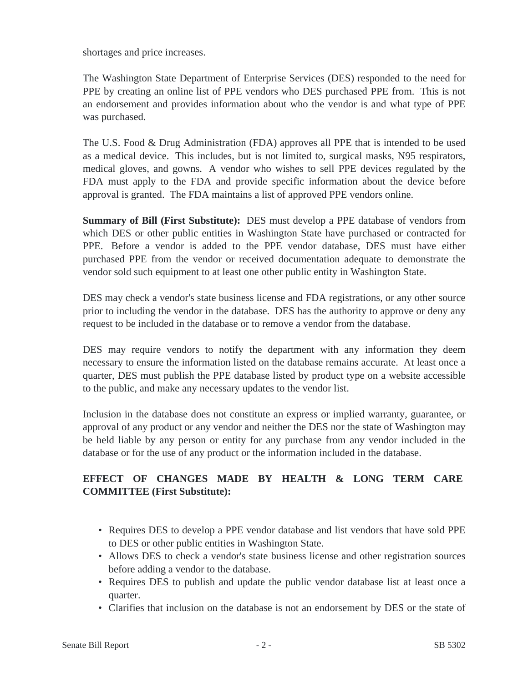shortages and price increases.

The Washington State Department of Enterprise Services (DES) responded to the need for PPE by creating an online list of PPE vendors who DES purchased PPE from. This is not an endorsement and provides information about who the vendor is and what type of PPE was purchased.

The U.S. Food & Drug Administration (FDA) approves all PPE that is intended to be used as a medical device. This includes, but is not limited to, surgical masks, N95 respirators, medical gloves, and gowns. A vendor who wishes to sell PPE devices regulated by the FDA must apply to the FDA and provide specific information about the device before approval is granted. The FDA maintains a list of approved PPE vendors online.

**Summary of Bill (First Substitute):** DES must develop a PPE database of vendors from which DES or other public entities in Washington State have purchased or contracted for PPE. Before a vendor is added to the PPE vendor database, DES must have either purchased PPE from the vendor or received documentation adequate to demonstrate the vendor sold such equipment to at least one other public entity in Washington State.

DES may check a vendor's state business license and FDA registrations, or any other source prior to including the vendor in the database. DES has the authority to approve or deny any request to be included in the database or to remove a vendor from the database.

DES may require vendors to notify the department with any information they deem necessary to ensure the information listed on the database remains accurate. At least once a quarter, DES must publish the PPE database listed by product type on a website accessible to the public, and make any necessary updates to the vendor list.

Inclusion in the database does not constitute an express or implied warranty, guarantee, or approval of any product or any vendor and neither the DES nor the state of Washington may be held liable by any person or entity for any purchase from any vendor included in the database or for the use of any product or the information included in the database.

# **EFFECT OF CHANGES MADE BY HEALTH & LONG TERM CARE COMMITTEE (First Substitute):**

- Requires DES to develop a PPE vendor database and list vendors that have sold PPE to DES or other public entities in Washington State.
- Allows DES to check a vendor's state business license and other registration sources before adding a vendor to the database.
- Requires DES to publish and update the public vendor database list at least once a quarter.
- Clarifies that inclusion on the database is not an endorsement by DES or the state of